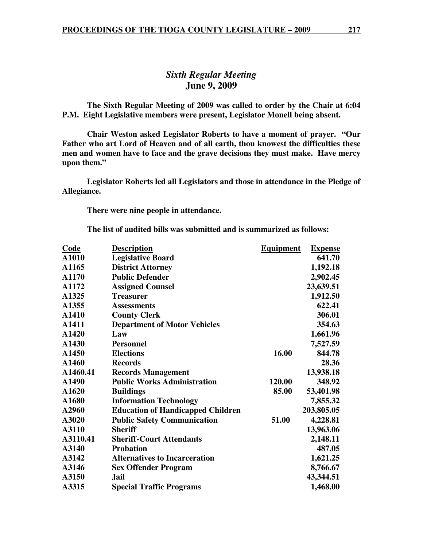# *Sixth Regular Meeting*  **June 9, 2009**

 **The Sixth Regular Meeting of 2009 was called to order by the Chair at 6:04 P.M. Eight Legislative members were present, Legislator Monell being absent.** 

**Chair Weston asked Legislator Roberts to have a moment of prayer. "Our Father who art Lord of Heaven and of all earth, thou knowest the difficulties these men and women have to face and the grave decisions they must make. Have mercy upon them."** 

 **Legislator Roberts led all Legislators and those in attendance in the Pledge of Allegiance.** 

 **There were nine people in attendance.** 

**The list of audited bills was submitted and is summarized as follows:** 

| <b>Code</b> | <b>Description</b>                       | <b>Equipment</b> | <b>Expense</b> |
|-------------|------------------------------------------|------------------|----------------|
| A1010       | <b>Legislative Board</b>                 |                  | 641.70         |
| A1165       | <b>District Attorney</b>                 |                  | 1,192.18       |
| A1170       | <b>Public Defender</b>                   |                  | 2,902.45       |
| A1172       | <b>Assigned Counsel</b>                  |                  | 23,639.51      |
| A1325       | <b>Treasurer</b>                         |                  | 1,912.50       |
| A1355       | <b>Assessments</b>                       |                  | 622.41         |
| A1410       | <b>County Clerk</b>                      |                  | 306.01         |
| A1411       | <b>Department of Motor Vehicles</b>      |                  | 354.63         |
| A1420       | Law                                      |                  | 1,661.96       |
| A1430       | <b>Personnel</b>                         |                  | 7,527.59       |
| A1450       | <b>Elections</b>                         | 16.00            | 844.78         |
| A1460       | <b>Records</b>                           |                  | 28.36          |
| A1460.41    | <b>Records Management</b>                |                  | 13,938.18      |
| A1490       | <b>Public Works Administration</b>       | 120.00           | 348.92         |
| A1620       | <b>Buildings</b>                         | 85.00            | 53,401.98      |
| A1680       | <b>Information Technology</b>            |                  | 7,855.32       |
| A2960       | <b>Education of Handicapped Children</b> |                  | 203,805.05     |
| A3020       | <b>Public Safety Communication</b>       | 51.00            | 4,228.81       |
| A3110       | <b>Sheriff</b>                           |                  | 13,963.06      |
| A3110.41    | <b>Sheriff-Court Attendants</b>          |                  | 2,148.11       |
| A3140       | <b>Probation</b>                         |                  | 487.05         |
| A3142       | <b>Alternatives to Incarceration</b>     |                  | 1,621.25       |
| A3146       | <b>Sex Offender Program</b>              |                  | 8,766.67       |
| A3150       | <b>Jail</b>                              |                  | 43,344.51      |
| A3315       | <b>Special Traffic Programs</b>          |                  | 1,468.00       |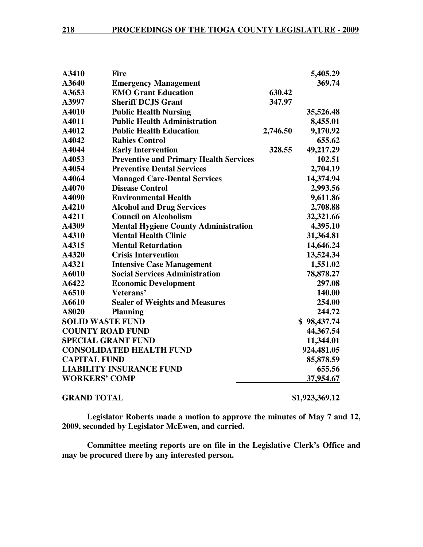| A3410                           | <b>Fire</b>                                   |          | 5,405.29    |
|---------------------------------|-----------------------------------------------|----------|-------------|
| A3640                           | <b>Emergency Management</b>                   |          | 369.74      |
| A3653                           | <b>EMO Grant Education</b>                    | 630.42   |             |
| A3997                           | <b>Sheriff DCJS Grant</b>                     | 347.97   |             |
| A4010                           | <b>Public Health Nursing</b>                  |          | 35,526.48   |
| A4011                           | <b>Public Health Administration</b>           |          | 8,455.01    |
| A4012                           | <b>Public Health Education</b>                | 2,746.50 | 9,170.92    |
| A4042                           | <b>Rabies Control</b>                         |          | 655.62      |
| A4044                           | <b>Early Intervention</b>                     | 328.55   | 49,217.29   |
| A4053                           | <b>Preventive and Primary Health Services</b> |          | 102.51      |
| A4054                           | <b>Preventive Dental Services</b>             |          | 2,704.19    |
| A4064                           | <b>Managed Care-Dental Services</b>           |          | 14,374.94   |
| A4070                           | <b>Disease Control</b>                        |          | 2,993.56    |
| A4090                           | <b>Environmental Health</b>                   |          | 9,611.86    |
| A4210                           | <b>Alcohol and Drug Services</b>              |          | 2,708.88    |
| A4211                           | <b>Council on Alcoholism</b>                  |          | 32,321.66   |
| A4309                           | <b>Mental Hygiene County Administration</b>   |          | 4,395.10    |
| A4310                           | <b>Mental Health Clinic</b>                   |          | 31,364.81   |
| A4315                           | <b>Mental Retardation</b>                     |          | 14,646.24   |
| A4320                           | <b>Crisis Intervention</b>                    |          | 13,524.34   |
| A4321                           | <b>Intensive Case Management</b>              |          | 1,551.02    |
| A6010                           | <b>Social Services Administration</b>         |          | 78,878.27   |
| A6422                           | <b>Economic Development</b>                   |          | 297.08      |
| A6510                           | Veterans'                                     |          | 140.00      |
| A6610                           | <b>Sealer of Weights and Measures</b>         |          | 254.00      |
| A8020                           | <b>Planning</b>                               |          | 244.72      |
| <b>SOLID WASTE FUND</b>         |                                               |          | \$98,437.74 |
|                                 | <b>COUNTY ROAD FUND</b>                       |          | 44,367.54   |
| <b>SPECIAL GRANT FUND</b>       |                                               |          | 11,344.01   |
|                                 | <b>CONSOLIDATED HEALTH FUND</b>               |          | 924,481.05  |
| <b>CAPITAL FUND</b>             |                                               |          | 85,878.59   |
| <b>LIABILITY INSURANCE FUND</b> |                                               |          | 655.56      |
| <b>WORKERS' COMP</b>            |                                               |          | 37,954.67   |
|                                 |                                               |          |             |

## **GRAND TOTAL \$1,923,369.12**

**Legislator Roberts made a motion to approve the minutes of May 7 and 12, 2009, seconded by Legislator McEwen, and carried.** 

**Committee meeting reports are on file in the Legislative Clerk's Office and may be procured there by any interested person.**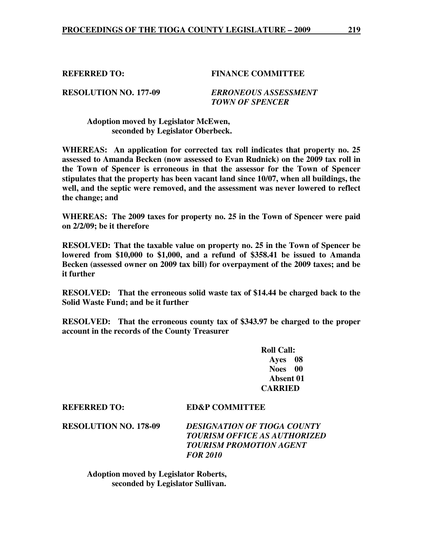## **REFERRED TO: FINANCE COMMITTEE**

**RESOLUTION NO. 177-09** *ERRONEOUS ASSESSMENT TOWN OF SPENCER* 

 **Adoption moved by Legislator McEwen, seconded by Legislator Oberbeck.** 

**WHEREAS: An application for corrected tax roll indicates that property no. 25 assessed to Amanda Becken (now assessed to Evan Rudnick) on the 2009 tax roll in the Town of Spencer is erroneous in that the assessor for the Town of Spencer stipulates that the property has been vacant land since 10/07, when all buildings, the well, and the septic were removed, and the assessment was never lowered to reflect the change; and** 

**WHEREAS: The 2009 taxes for property no. 25 in the Town of Spencer were paid on 2/2/09; be it therefore** 

**RESOLVED: That the taxable value on property no. 25 in the Town of Spencer be lowered from \$10,000 to \$1,000, and a refund of \$358.41 be issued to Amanda Becken (assessed owner on 2009 tax bill) for overpayment of the 2009 taxes; and be it further** 

**RESOLVED: That the erroneous solid waste tax of \$14.44 be charged back to the Solid Waste Fund; and be it further** 

**RESOLVED: That the erroneous county tax of \$343.97 be charged to the proper account in the records of the County Treasurer** 

> **Roll Call: Ayes 08 Noes 00 Absent 01 CARRIED**

**REFERRED TO: ED&P COMMITTEE** 

**RESOLUTION NO. 178-09** *DESIGNATION OF TIOGA COUNTY TOURISM OFFICE AS AUTHORIZED TOURISM PROMOTION AGENT FOR 2010* 

 **Adoption moved by Legislator Roberts, seconded by Legislator Sullivan.**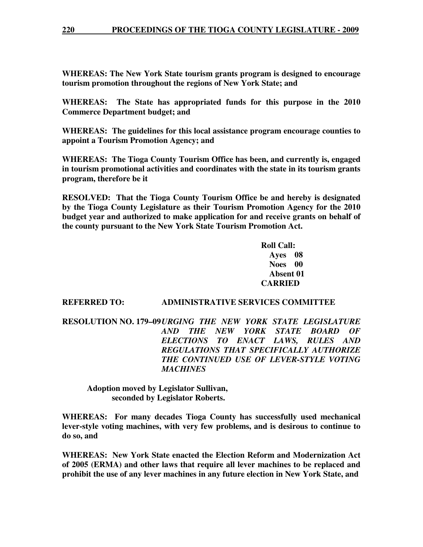**WHEREAS: The New York State tourism grants program is designed to encourage tourism promotion throughout the regions of New York State; and** 

**WHEREAS: The State has appropriated funds for this purpose in the 2010 Commerce Department budget; and** 

**WHEREAS: The guidelines for this local assistance program encourage counties to appoint a Tourism Promotion Agency; and** 

**WHEREAS: The Tioga County Tourism Office has been, and currently is, engaged in tourism promotional activities and coordinates with the state in its tourism grants program, therefore be it** 

**RESOLVED: That the Tioga County Tourism Office be and hereby is designated by the Tioga County Legislature as their Tourism Promotion Agency for the 2010 budget year and authorized to make application for and receive grants on behalf of the county pursuant to the New York State Tourism Promotion Act.** 

> **Roll Call: Ayes 08 Noes 00 Absent 01 CARRIED**

## **REFERRED TO: ADMINISTRATIVE SERVICES COMMITTEE**

**RESOLUTION NO. 179–09** *URGING THE NEW YORK STATE LEGISLATURE AND THE NEW YORK STATE BOARD OF ELECTIONS TO ENACT LAWS, RULES AND REGULATIONS THAT SPECIFICALLY AUTHORIZE THE CONTINUED USE OF LEVER-STYLE VOTING MACHINES* 

**Adoption moved by Legislator Sullivan, seconded by Legislator Roberts.** 

**WHEREAS: For many decades Tioga County has successfully used mechanical lever-style voting machines, with very few problems, and is desirous to continue to do so, and** 

**WHEREAS: New York State enacted the Election Reform and Modernization Act of 2005 (ERMA) and other laws that require all lever machines to be replaced and prohibit the use of any lever machines in any future election in New York State, and**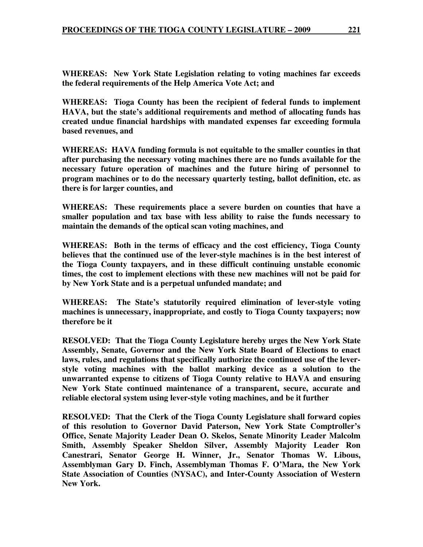**WHEREAS: New York State Legislation relating to voting machines far exceeds the federal requirements of the Help America Vote Act; and** 

**WHEREAS: Tioga County has been the recipient of federal funds to implement HAVA, but the state's additional requirements and method of allocating funds has created undue financial hardships with mandated expenses far exceeding formula based revenues, and** 

**WHEREAS: HAVA funding formula is not equitable to the smaller counties in that after purchasing the necessary voting machines there are no funds available for the necessary future operation of machines and the future hiring of personnel to program machines or to do the necessary quarterly testing, ballot definition, etc. as there is for larger counties, and** 

**WHEREAS: These requirements place a severe burden on counties that have a smaller population and tax base with less ability to raise the funds necessary to maintain the demands of the optical scan voting machines, and** 

**WHEREAS: Both in the terms of efficacy and the cost efficiency, Tioga County believes that the continued use of the lever-style machines is in the best interest of the Tioga County taxpayers, and in these difficult continuing unstable economic times, the cost to implement elections with these new machines will not be paid for by New York State and is a perpetual unfunded mandate; and** 

**WHEREAS: The State's statutorily required elimination of lever-style voting machines is unnecessary, inappropriate, and costly to Tioga County taxpayers; now therefore be it** 

**RESOLVED: That the Tioga County Legislature hereby urges the New York State Assembly, Senate, Governor and the New York State Board of Elections to enact laws, rules, and regulations that specifically authorize the continued use of the leverstyle voting machines with the ballot marking device as a solution to the unwarranted expense to citizens of Tioga County relative to HAVA and ensuring New York State continued maintenance of a transparent, secure, accurate and reliable electoral system using lever-style voting machines, and be it further** 

**RESOLVED: That the Clerk of the Tioga County Legislature shall forward copies of this resolution to Governor David Paterson, New York State Comptroller's Office, Senate Majority Leader Dean O. Skelos, Senate Minority Leader Malcolm Smith, Assembly Speaker Sheldon Silver, Assembly Majority Leader Ron Canestrari, Senator George H. Winner, Jr., Senator Thomas W. Libous, Assemblyman Gary D. Finch, Assemblyman Thomas F. O'Mara, the New York State Association of Counties (NYSAC), and Inter-County Association of Western New York.**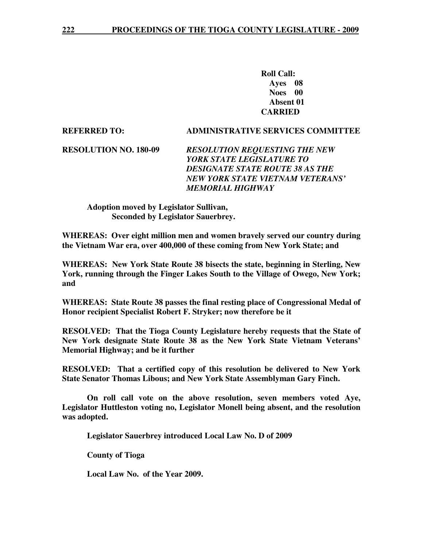**Roll Call: Ayes 08 Noes 00 Absent 01 CARRIED** 

## **REFERRED TO: ADMINISTRATIVE SERVICES COMMITTEE**

**RESOLUTION NO. 180-09** *RESOLUTION REQUESTING THE NEW YORK STATE LEGISLATURE TO DESIGNATE STATE ROUTE 38 AS THE NEW YORK STATE VIETNAM VETERANS' MEMORIAL HIGHWAY* 

 **Adoption moved by Legislator Sullivan, Seconded by Legislator Sauerbrey.** 

**WHEREAS: Over eight million men and women bravely served our country during the Vietnam War era, over 400,000 of these coming from New York State; and** 

**WHEREAS: New York State Route 38 bisects the state, beginning in Sterling, New York, running through the Finger Lakes South to the Village of Owego, New York; and** 

**WHEREAS: State Route 38 passes the final resting place of Congressional Medal of Honor recipient Specialist Robert F. Stryker; now therefore be it** 

**RESOLVED: That the Tioga County Legislature hereby requests that the State of New York designate State Route 38 as the New York State Vietnam Veterans' Memorial Highway; and be it further** 

**RESOLVED: That a certified copy of this resolution be delivered to New York State Senator Thomas Libous; and New York State Assemblyman Gary Finch.** 

 **On roll call vote on the above resolution, seven members voted Aye, Legislator Huttleston voting no, Legislator Monell being absent, and the resolution was adopted.** 

 **Legislator Sauerbrey introduced Local Law No. D of 2009** 

 **County of Tioga** 

 **Local Law No. of the Year 2009.**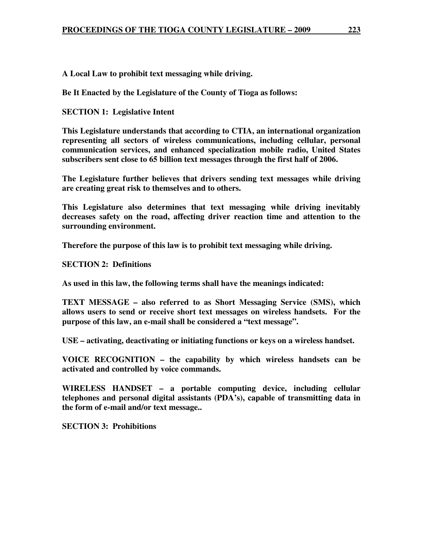**A Local Law to prohibit text messaging while driving.** 

**Be It Enacted by the Legislature of the County of Tioga as follows:** 

**SECTION 1: Legislative Intent** 

**This Legislature understands that according to CTIA, an international organization representing all sectors of wireless communications, including cellular, personal communication services, and enhanced specialization mobile radio, United States subscribers sent close to 65 billion text messages through the first half of 2006.** 

**The Legislature further believes that drivers sending text messages while driving are creating great risk to themselves and to others.** 

**This Legislature also determines that text messaging while driving inevitably decreases safety on the road, affecting driver reaction time and attention to the surrounding environment.** 

**Therefore the purpose of this law is to prohibit text messaging while driving.** 

**SECTION 2: Definitions** 

**As used in this law, the following terms shall have the meanings indicated:** 

**TEXT MESSAGE – also referred to as Short Messaging Service (SMS), which allows users to send or receive short text messages on wireless handsets. For the purpose of this law, an e-mail shall be considered a "text message".** 

**USE – activating, deactivating or initiating functions or keys on a wireless handset.** 

**VOICE RECOGNITION – the capability by which wireless handsets can be activated and controlled by voice commands.** 

**WIRELESS HANDSET – a portable computing device, including cellular telephones and personal digital assistants (PDA's), capable of transmitting data in the form of e-mail and/or text message..** 

**SECTION 3: Prohibitions**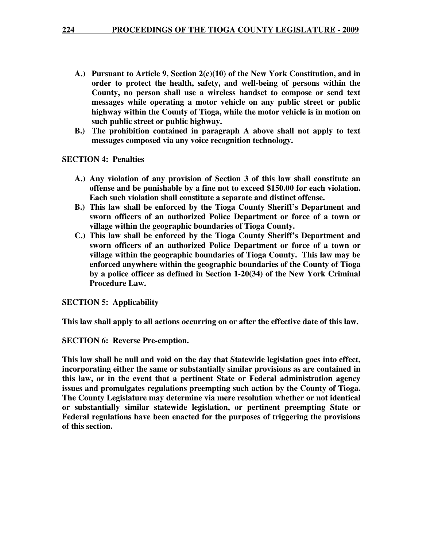- **A.) Pursuant to Article 9, Section 2(c)(10) of the New York Constitution, and in order to protect the health, safety, and well-being of persons within the County, no person shall use a wireless handset to compose or send text messages while operating a motor vehicle on any public street or public highway within the County of Tioga, while the motor vehicle is in motion on such public street or public highway.**
- **B.) The prohibition contained in paragraph A above shall not apply to text messages composed via any voice recognition technology.**

**SECTION 4: Penalties** 

- **A.) Any violation of any provision of Section 3 of this law shall constitute an offense and be punishable by a fine not to exceed \$150.00 for each violation. Each such violation shall constitute a separate and distinct offense.**
- **B.) This law shall be enforced by the Tioga County Sheriff's Department and sworn officers of an authorized Police Department or force of a town or village within the geographic boundaries of Tioga County.**
- **C.) This law shall be enforced by the Tioga County Sheriff's Department and sworn officers of an authorized Police Department or force of a town or village within the geographic boundaries of Tioga County. This law may be enforced anywhere within the geographic boundaries of the County of Tioga by a police officer as defined in Section 1-20(34) of the New York Criminal Procedure Law.**

**SECTION 5: Applicability** 

**This law shall apply to all actions occurring on or after the effective date of this law.** 

**SECTION 6: Reverse Pre-emption.** 

**This law shall be null and void on the day that Statewide legislation goes into effect, incorporating either the same or substantially similar provisions as are contained in this law, or in the event that a pertinent State or Federal administration agency issues and promulgates regulations preempting such action by the County of Tioga. The County Legislature may determine via mere resolution whether or not identical or substantially similar statewide legislation, or pertinent preempting State or Federal regulations have been enacted for the purposes of triggering the provisions of this section.**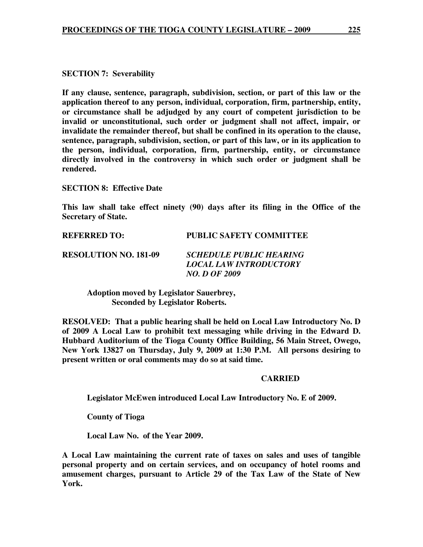## **SECTION 7: Severability**

**If any clause, sentence, paragraph, subdivision, section, or part of this law or the application thereof to any person, individual, corporation, firm, partnership, entity, or circumstance shall be adjudged by any court of competent jurisdiction to be invalid or unconstitutional, such order or judgment shall not affect, impair, or invalidate the remainder thereof, but shall be confined in its operation to the clause, sentence, paragraph, subdivision, section, or part of this law, or in its application to the person, individual, corporation, firm, partnership, entity, or circumstance directly involved in the controversy in which such order or judgment shall be rendered.** 

**SECTION 8: Effective Date** 

**This law shall take effect ninety (90) days after its filing in the Office of the Secretary of State.** 

| <b>REFERRED TO:</b>          | PUBLIC SAFETY COMMITTEE                                                                 |
|------------------------------|-----------------------------------------------------------------------------------------|
| <b>RESOLUTION NO. 181-09</b> | <b>SCHEDULE PUBLIC HEARING</b><br><i>LOCAL LAW INTRODUCTORY</i><br><b>NO. D OF 2009</b> |

 **Adoption moved by Legislator Sauerbrey, Seconded by Legislator Roberts.** 

**RESOLVED: That a public hearing shall be held on Local Law Introductory No. D of 2009 A Local Law to prohibit text messaging while driving in the Edward D. Hubbard Auditorium of the Tioga County Office Building, 56 Main Street, Owego, New York 13827 on Thursday, July 9, 2009 at 1:30 P.M. All persons desiring to present written or oral comments may do so at said time.** 

#### **CARRIED**

 **Legislator McEwen introduced Local Law Introductory No. E of 2009.** 

 **County of Tioga** 

 **Local Law No. of the Year 2009.** 

**A Local Law maintaining the current rate of taxes on sales and uses of tangible personal property and on certain services, and on occupancy of hotel rooms and amusement charges, pursuant to Article 29 of the Tax Law of the State of New York.**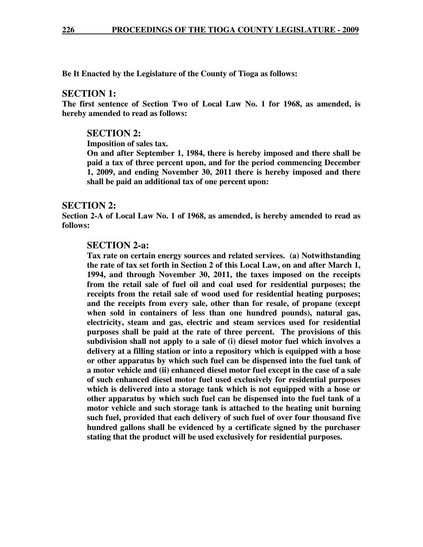**Be It Enacted by the Legislature of the County of Tioga as follows:** 

## **SECTION 1:**

**The first sentence of Section Two of Local Law No. 1 for 1968, as amended, is hereby amended to read as follows:** 

## **SECTION 2:**

**Imposition of sales tax.** 

**On and after September 1, 1984, there is hereby imposed and there shall be paid a tax of three percent upon, and for the period commencing December 1, 2009, and ending November 30, 2011 there is hereby imposed and there shall be paid an additional tax of one percent upon:** 

## **SECTION 2:**

**Section 2-A of Local Law No. 1 of 1968, as amended, is hereby amended to read as follows:** 

## **SECTION 2-a:**

**Tax rate on certain energy sources and related services. (a) Notwithstanding the rate of tax set forth in Section 2 of this Local Law, on and after March 1, 1994, and through November 30, 2011, the taxes imposed on the receipts from the retail sale of fuel oil and coal used for residential purposes; the receipts from the retail sale of wood used for residential heating purposes; and the receipts from every sale, other than for resale, of propane (except when sold in containers of less than one hundred pounds), natural gas, electricity, steam and gas, electric and steam services used for residential purposes shall be paid at the rate of three percent. The provisions of this subdivision shall not apply to a sale of (i) diesel motor fuel which involves a delivery at a filling station or into a repository which is equipped with a hose or other apparatus by which such fuel can be dispensed into the fuel tank of a motor vehicle and (ii) enhanced diesel motor fuel except in the case of a sale of such enhanced diesel motor fuel used exclusively for residential purposes which is delivered into a storage tank which is not equipped with a hose or other apparatus by which such fuel can be dispensed into the fuel tank of a motor vehicle and such storage tank is attached to the heating unit burning such fuel, provided that each delivery of such fuel of over four thousand five hundred gallons shall be evidenced by a certificate signed by the purchaser stating that the product will be used exclusively for residential purposes.**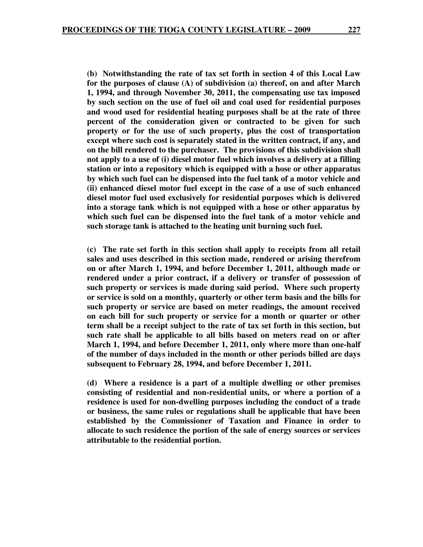**(b) Notwithstanding the rate of tax set forth in section 4 of this Local Law for the purposes of clause (A) of subdivision (a) thereof, on and after March 1, 1994, and through November 30, 2011, the compensating use tax imposed by such section on the use of fuel oil and coal used for residential purposes and wood used for residential heating purposes shall be at the rate of three percent of the consideration given or contracted to be given for such property or for the use of such property, plus the cost of transportation except where such cost is separately stated in the written contract, if any, and on the bill rendered to the purchaser. The provisions of this subdivision shall not apply to a use of (i) diesel motor fuel which involves a delivery at a filling station or into a repository which is equipped with a hose or other apparatus by which such fuel can be dispensed into the fuel tank of a motor vehicle and (ii) enhanced diesel motor fuel except in the case of a use of such enhanced diesel motor fuel used exclusively for residential purposes which is delivered into a storage tank which is not equipped with a hose or other apparatus by which such fuel can be dispensed into the fuel tank of a motor vehicle and such storage tank is attached to the heating unit burning such fuel.** 

**(c) The rate set forth in this section shall apply to receipts from all retail sales and uses described in this section made, rendered or arising therefrom on or after March 1, 1994, and before December 1, 2011, although made or rendered under a prior contract, if a delivery or transfer of possession of such property or services is made during said period. Where such property or service is sold on a monthly, quarterly or other term basis and the bills for such property or service are based on meter readings, the amount received on each bill for such property or service for a month or quarter or other term shall be a receipt subject to the rate of tax set forth in this section, but such rate shall be applicable to all bills based on meters read on or after March 1, 1994, and before December 1, 2011, only where more than one-half of the number of days included in the month or other periods billed are days subsequent to February 28, 1994, and before December 1, 2011.** 

**(d) Where a residence is a part of a multiple dwelling or other premises consisting of residential and non-residential units, or where a portion of a residence is used for non-dwelling purposes including the conduct of a trade or business, the same rules or regulations shall be applicable that have been established by the Commissioner of Taxation and Finance in order to allocate to such residence the portion of the sale of energy sources or services attributable to the residential portion.**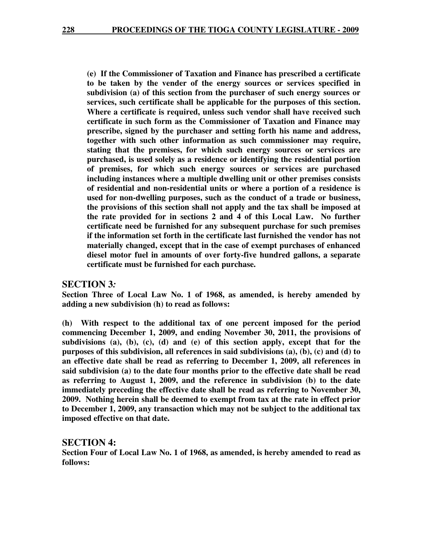**(e) If the Commissioner of Taxation and Finance has prescribed a certificate to be taken by the vender of the energy sources or services specified in subdivision (a) of this section from the purchaser of such energy sources or services, such certificate shall be applicable for the purposes of this section. Where a certificate is required, unless such vendor shall have received such certificate in such form as the Commissioner of Taxation and Finance may prescribe, signed by the purchaser and setting forth his name and address, together with such other information as such commissioner may require, stating that the premises, for which such energy sources or services are purchased, is used solely as a residence or identifying the residential portion of premises, for which such energy sources or services are purchased including instances where a multiple dwelling unit or other premises consists of residential and non-residential units or where a portion of a residence is used for non-dwelling purposes, such as the conduct of a trade or business, the provisions of this section shall not apply and the tax shall be imposed at the rate provided for in sections 2 and 4 of this Local Law. No further certificate need be furnished for any subsequent purchase for such premises if the information set forth in the certificate last furnished the vendor has not materially changed, except that in the case of exempt purchases of enhanced diesel motor fuel in amounts of over forty-five hundred gallons, a separate certificate must be furnished for each purchase.** 

## **SECTION 3***:*

**Section Three of Local Law No. 1 of 1968, as amended, is hereby amended by adding a new subdivision (h) to read as follows:** 

**(h) With respect to the additional tax of one percent imposed for the period commencing December 1, 2009, and ending November 30, 2011, the provisions of subdivisions (a), (b), (c), (d) and (e) of this section apply, except that for the purposes of this subdivision, all references in said subdivisions (a), (b), (c) and (d) to an effective date shall be read as referring to December 1, 2009, all references in said subdivision (a) to the date four months prior to the effective date shall be read as referring to August 1, 2009, and the reference in subdivision (b) to the date immediately preceding the effective date shall be read as referring to November 30, 2009. Nothing herein shall be deemed to exempt from tax at the rate in effect prior to December 1, 2009, any transaction which may not be subject to the additional tax imposed effective on that date.** 

#### **SECTION 4:**

**Section Four of Local Law No. 1 of 1968, as amended, is hereby amended to read as follows:**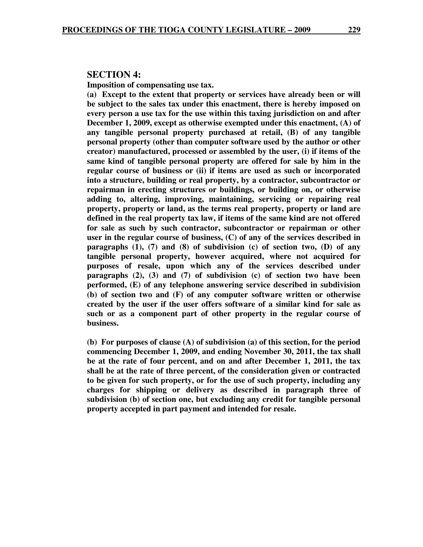#### **SECTION 4:**

**Imposition of compensating use tax.** 

**(a) Except to the extent that property or services have already been or will be subject to the sales tax under this enactment, there is hereby imposed on every person a use tax for the use within this taxing jurisdiction on and after December 1, 2009, except as otherwise exempted under this enactment, (A) of any tangible personal property purchased at retail, (B) of any tangible personal property (other than computer software used by the author or other creator) manufactured, processed or assembled by the user, (i) if items of the same kind of tangible personal property are offered for sale by him in the regular course of business or (ii) if items are used as such or incorporated into a structure, building or real property, by a contractor, subcontractor or repairman in erecting structures or buildings, or building on, or otherwise adding to, altering, improving, maintaining, servicing or repairing real property, property or land, as the terms real property, property or land are defined in the real property tax law, if items of the same kind are not offered for sale as such by such contractor, subcontractor or repairman or other user in the regular course of business, (C) of any of the services described in paragraphs (1), (7) and (8) of subdivision (c) of section two, (D) of any tangible personal property, however acquired, where not acquired for purposes of resale, upon which any of the services described under paragraphs (2), (3) and (7) of subdivision (c) of section two have been performed, (E) of any telephone answering service described in subdivision (b) of section two and (F) of any computer software written or otherwise created by the user if the user offers software of a similar kind for sale as such or as a component part of other property in the regular course of business.** 

**(b) For purposes of clause (A) of subdivision (a) of this section, for the period commencing December 1, 2009, and ending November 30, 2011, the tax shall be at the rate of four percent, and on and after December 1, 2011, the tax shall be at the rate of three percent, of the consideration given or contracted to be given for such property, or for the use of such property, including any charges for shipping or delivery as described in paragraph three of subdivision (b) of section one, but excluding any credit for tangible personal property accepted in part payment and intended for resale.**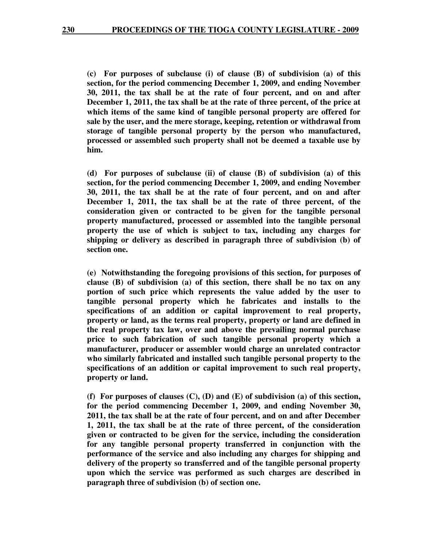**(c) For purposes of subclause (i) of clause (B) of subdivision (a) of this section, for the period commencing December 1, 2009, and ending November 30, 2011, the tax shall be at the rate of four percent, and on and after December 1, 2011, the tax shall be at the rate of three percent, of the price at which items of the same kind of tangible personal property are offered for sale by the user, and the mere storage, keeping, retention or withdrawal from storage of tangible personal property by the person who manufactured, processed or assembled such property shall not be deemed a taxable use by him.** 

**(d) For purposes of subclause (ii) of clause (B) of subdivision (a) of this section, for the period commencing December 1, 2009, and ending November 30, 2011, the tax shall be at the rate of four percent, and on and after December 1, 2011, the tax shall be at the rate of three percent, of the consideration given or contracted to be given for the tangible personal property manufactured, processed or assembled into the tangible personal property the use of which is subject to tax, including any charges for shipping or delivery as described in paragraph three of subdivision (b) of section one.** 

**(e) Notwithstanding the foregoing provisions of this section, for purposes of clause (B) of subdivision (a) of this section, there shall be no tax on any portion of such price which represents the value added by the user to tangible personal property which he fabricates and installs to the specifications of an addition or capital improvement to real property, property or land, as the terms real property, property or land are defined in the real property tax law, over and above the prevailing normal purchase price to such fabrication of such tangible personal property which a manufacturer, producer or assembler would charge an unrelated contractor who similarly fabricated and installed such tangible personal property to the specifications of an addition or capital improvement to such real property, property or land.** 

**(f) For purposes of clauses (C), (D) and (E) of subdivision (a) of this section, for the period commencing December 1, 2009, and ending November 30, 2011, the tax shall be at the rate of four percent, and on and after December 1, 2011, the tax shall be at the rate of three percent, of the consideration given or contracted to be given for the service, including the consideration for any tangible personal property transferred in conjunction with the performance of the service and also including any charges for shipping and delivery of the property so transferred and of the tangible personal property upon which the service was performed as such charges are described in paragraph three of subdivision (b) of section one.**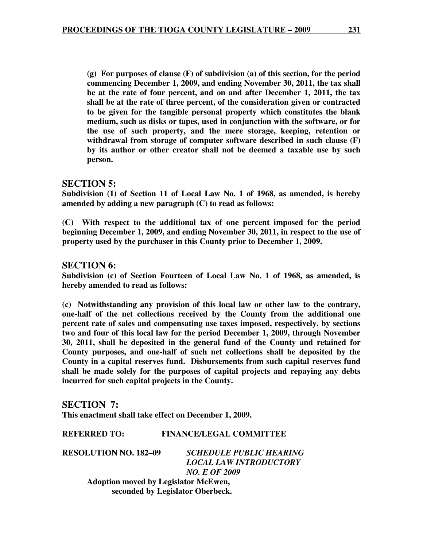**(g) For purposes of clause (F) of subdivision (a) of this section, for the period commencing December 1, 2009, and ending November 30, 2011, the tax shall be at the rate of four percent, and on and after December 1, 2011, the tax shall be at the rate of three percent, of the consideration given or contracted to be given for the tangible personal property which constitutes the blank medium, such as disks or tapes, used in conjunction with the software, or for the use of such property, and the mere storage, keeping, retention or withdrawal from storage of computer software described in such clause (F) by its author or other creator shall not be deemed a taxable use by such person.** 

## **SECTION 5:**

**Subdivision (1) of Section 11 of Local Law No. 1 of 1968, as amended, is hereby amended by adding a new paragraph (C) to read as follows:** 

**(C) With respect to the additional tax of one percent imposed for the period beginning December 1, 2009, and ending November 30, 2011, in respect to the use of property used by the purchaser in this County prior to December 1, 2009.** 

## **SECTION 6:**

**Subdivision (c) of Section Fourteen of Local Law No. 1 of 1968, as amended, is hereby amended to read as follows:** 

**(c) Notwithstanding any provision of this local law or other law to the contrary, one-half of the net collections received by the County from the additional one percent rate of sales and compensating use taxes imposed, respectively, by sections two and four of this local law for the period December 1, 2009, through November 30, 2011, shall be deposited in the general fund of the County and retained for County purposes, and one-half of such net collections shall be deposited by the County in a capital reserves fund. Disbursements from such capital reserves fund shall be made solely for the purposes of capital projects and repaying any debts incurred for such capital projects in the County.** 

**SECTION 7: This enactment shall take effect on December 1, 2009.** 

**REFERRED TO: FINANCE/LEGAL COMMITTEE** 

**RESOLUTION NO. 182–09** *SCHEDULE PUBLIC HEARING LOCAL LAW INTRODUCTORY NO. E OF 2009*   **Adoption moved by Legislator McEwen, seconded by Legislator Oberbeck.**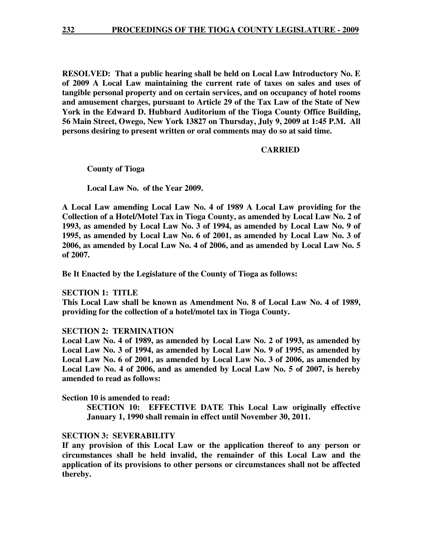**RESOLVED: That a public hearing shall be held on Local Law Introductory No. E of 2009 A Local Law maintaining the current rate of taxes on sales and uses of tangible personal property and on certain services, and on occupancy of hotel rooms and amusement charges, pursuant to Article 29 of the Tax Law of the State of New York in the Edward D. Hubbard Auditorium of the Tioga County Office Building, 56 Main Street, Owego, New York 13827 on Thursday, July 9, 2009 at 1:45 P.M. All persons desiring to present written or oral comments may do so at said time.** 

#### **CARRIED**

 **County of Tioga** 

 **Local Law No. of the Year 2009.** 

**A Local Law amending Local Law No. 4 of 1989 A Local Law providing for the Collection of a Hotel/Motel Tax in Tioga County, as amended by Local Law No. 2 of 1993, as amended by Local Law No. 3 of 1994, as amended by Local Law No. 9 of 1995, as amended by Local Law No. 6 of 2001, as amended by Local Law No. 3 of 2006, as amended by Local Law No. 4 of 2006, and as amended by Local Law No. 5 of 2007.** 

**Be It Enacted by the Legislature of the County of Tioga as follows:** 

#### **SECTION 1: TITLE**

**This Local Law shall be known as Amendment No. 8 of Local Law No. 4 of 1989, providing for the collection of a hotel/motel tax in Tioga County.** 

#### **SECTION 2: TERMINATION**

**Local Law No. 4 of 1989, as amended by Local Law No. 2 of 1993, as amended by Local Law No. 3 of 1994, as amended by Local Law No. 9 of 1995, as amended by Local Law No. 6 of 2001, as amended by Local Law No. 3 of 2006, as amended by Local Law No. 4 of 2006, and as amended by Local Law No. 5 of 2007, is hereby amended to read as follows:** 

**Section 10 is amended to read:** 

**SECTION 10: EFFECTIVE DATE This Local Law originally effective January 1, 1990 shall remain in effect until November 30, 2011.** 

#### **SECTION 3: SEVERABILITY**

**If any provision of this Local Law or the application thereof to any person or circumstances shall be held invalid, the remainder of this Local Law and the application of its provisions to other persons or circumstances shall not be affected thereby.**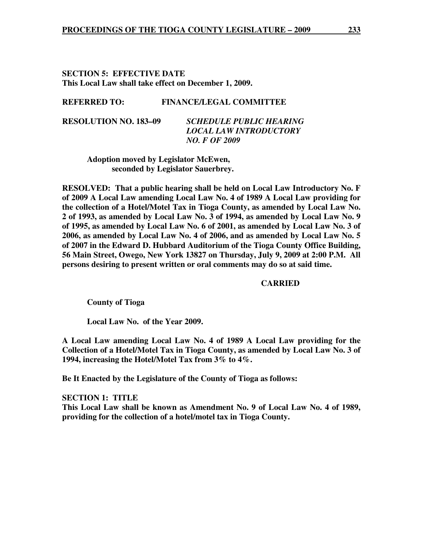## **SECTION 5: EFFECTIVE DATE This Local Law shall take effect on December 1, 2009.**

#### **REFERRED TO: FINANCE/LEGAL COMMITTEE**

**RESOLUTION NO. 183–09** *SCHEDULE PUBLIC HEARING LOCAL LAW INTRODUCTORY NO. F OF 2009* 

 **Adoption moved by Legislator McEwen, seconded by Legislator Sauerbrey.** 

**RESOLVED: That a public hearing shall be held on Local Law Introductory No. F of 2009 A Local Law amending Local Law No. 4 of 1989 A Local Law providing for the collection of a Hotel/Motel Tax in Tioga County, as amended by Local Law No. 2 of 1993, as amended by Local Law No. 3 of 1994, as amended by Local Law No. 9 of 1995, as amended by Local Law No. 6 of 2001, as amended by Local Law No. 3 of 2006, as amended by Local Law No. 4 of 2006, and as amended by Local Law No. 5 of 2007 in the Edward D. Hubbard Auditorium of the Tioga County Office Building, 56 Main Street, Owego, New York 13827 on Thursday, July 9, 2009 at 2:00 P.M. All persons desiring to present written or oral comments may do so at said time.** 

#### **CARRIED**

 **County of Tioga** 

 **Local Law No. of the Year 2009.** 

**A Local Law amending Local Law No. 4 of 1989 A Local Law providing for the Collection of a Hotel/Motel Tax in Tioga County, as amended by Local Law No. 3 of 1994, increasing the Hotel/Motel Tax from 3% to 4%.** 

**Be It Enacted by the Legislature of the County of Tioga as follows:** 

**SECTION 1: TITLE This Local Law shall be known as Amendment No. 9 of Local Law No. 4 of 1989, providing for the collection of a hotel/motel tax in Tioga County.**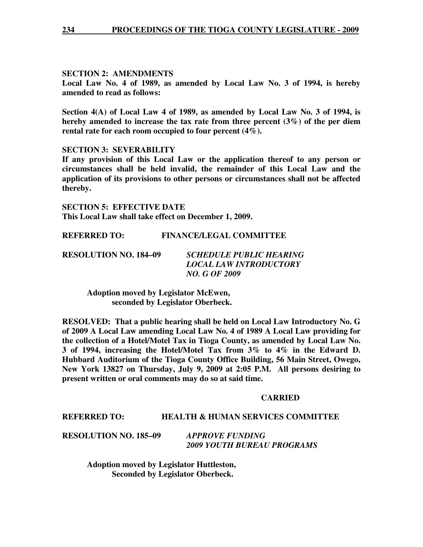## **SECTION 2: AMENDMENTS**

**Local Law No. 4 of 1989, as amended by Local Law No. 3 of 1994, is hereby amended to read as follows:** 

**Section 4(A) of Local Law 4 of 1989, as amended by Local Law No. 3 of 1994, is hereby amended to increase the tax rate from three percent (3%) of the per diem rental rate for each room occupied to four percent (4%).** 

## **SECTION 3: SEVERABILITY**

**If any provision of this Local Law or the application thereof to any person or circumstances shall be held invalid, the remainder of this Local Law and the application of its provisions to other persons or circumstances shall not be affected thereby.** 

**SECTION 5: EFFECTIVE DATE This Local Law shall take effect on December 1, 2009.** 

**REFERRED TO: FINANCE/LEGAL COMMITTEE** 

| <b>RESOLUTION NO. 184–09</b> | <b>SCHEDULE PUBLIC HEARING</b> |
|------------------------------|--------------------------------|
|                              | LOCAL LAW INTRODUCTORY         |
|                              | <i>NO. G OF 2009</i>           |

 **Adoption moved by Legislator McEwen, seconded by Legislator Oberbeck.** 

**RESOLVED: That a public hearing shall be held on Local Law Introductory No. G of 2009 A Local Law amending Local Law No. 4 of 1989 A Local Law providing for the collection of a Hotel/Motel Tax in Tioga County, as amended by Local Law No. 3 of 1994, increasing the Hotel/Motel Tax from 3% to 4% in the Edward D. Hubbard Auditorium of the Tioga County Office Building, 56 Main Street, Owego, New York 13827 on Thursday, July 9, 2009 at 2:05 P.M. All persons desiring to present written or oral comments may do so at said time.** 

#### **CARRIED**

## **REFERRED TO: HEALTH & HUMAN SERVICES COMMITTEE**

| <b>RESOLUTION NO. 185–09</b> | <b>APPROVE FUNDING</b>            |
|------------------------------|-----------------------------------|
|                              | <b>2009 YOUTH BUREAU PROGRAMS</b> |

 **Adoption moved by Legislator Huttleston, Seconded by Legislator Oberbeck.**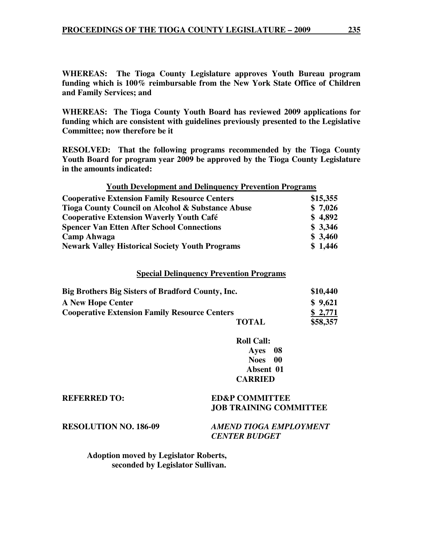**WHEREAS: The Tioga County Legislature approves Youth Bureau program funding which is 100% reimbursable from the New York State Office of Children and Family Services; and** 

**WHEREAS: The Tioga County Youth Board has reviewed 2009 applications for funding which are consistent with guidelines previously presented to the Legislative Committee; now therefore be it** 

**RESOLVED: That the following programs recommended by the Tioga County Youth Board for program year 2009 be approved by the Tioga County Legislature in the amounts indicated:** 

| <b>Youth Development and Delinguency Prevention Programs</b> |          |
|--------------------------------------------------------------|----------|
| <b>Cooperative Extension Family Resource Centers</b>         | \$15,355 |
| Tioga County Council on Alcohol & Substance Abuse            | \$7,026  |
| <b>Cooperative Extension Waverly Youth Café</b>              | \$4,892  |
| <b>Spencer Van Etten After School Connections</b>            | \$3,346  |
| <b>Camp Ahwaga</b>                                           | \$3,460  |
| <b>Newark Valley Historical Society Youth Programs</b>       | \$1,446  |

#### **Special Delinquency Prevention Programs**

| Big Brothers Big Sisters of Bradford County, Inc.    |              | \$10,440 |
|------------------------------------------------------|--------------|----------|
| <b>A New Hope Center</b>                             |              | \$9,621  |
| <b>Cooperative Extension Family Resource Centers</b> |              | \$2,771  |
|                                                      | <b>TOTAL</b> | \$58,357 |

**Roll Call: Ayes 08 Noes 00 Absent 01 CARRIED** 

#### **REFERRED TO: ED&P COMMITTEE JOB TRAINING COMMITTEE**

**RESOLUTION NO. 186-09** *AMEND TIOGA EMPLOYMENT CENTER BUDGET* 

 **Adoption moved by Legislator Roberts, seconded by Legislator Sullivan.**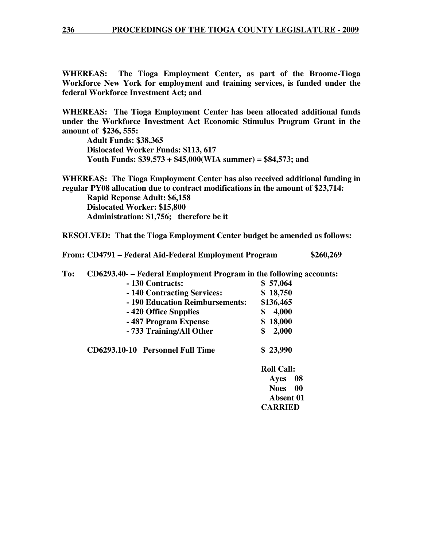**WHEREAS: The Tioga Employment Center, as part of the Broome-Tioga Workforce New York for employment and training services, is funded under the federal Workforce Investment Act; and** 

**WHEREAS: The Tioga Employment Center has been allocated additional funds under the Workforce Investment Act Economic Stimulus Program Grant in the amount of \$236, 555:** 

 **Adult Funds: \$38,365 Dislocated Worker Funds: \$113, 617 Youth Funds: \$39,573 + \$45,000(WIA summer) = \$84,573; and** 

**WHEREAS: The Tioga Employment Center has also received additional funding in regular PY08 allocation due to contract modifications in the amount of \$23,714:** 

 **Rapid Reponse Adult: \$6,158 Dislocated Worker: \$15,800 Administration: \$1,756; therefore be it** 

**RESOLVED: That the Tioga Employment Center budget be amended as follows:** 

**From: CD4791 – Federal Aid-Federal Employment Program \$260,269** 

**To: CD6293.40- – Federal Employment Program in the following accounts:** 

|                                 | \$57,064  |
|---------------------------------|-----------|
| - 140 Contracting Services:     | \$18,750  |
| - 190 Education Reimbursements: | \$136,465 |
| -420 Office Supplies            | 4,000     |
| -487 Program Expense            | \$18,000  |
| - 733 Training/All Other        | 2,000     |

**CD6293.10-10 Personnel Full Time \$ 23,990** 

**Roll Call: Ayes 08 Noes 00 Absent 01 CARRIED**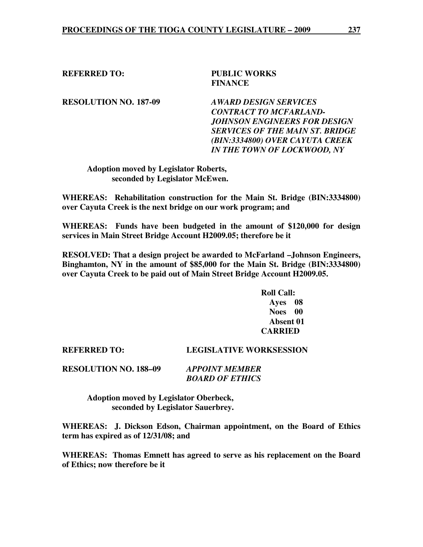## **REFERRED TO: PUBLIC WORKS FINANCE**

**RESOLUTION NO. 187-09** *AWARD DESIGN SERVICES* 

 *CONTRACT TO MCFARLAND- JOHNSON ENGINEERS FOR DESIGN SERVICES OF THE MAIN ST. BRIDGE (BIN:3334800) OVER CAYUTA CREEK IN THE TOWN OF LOCKWOOD, NY* 

 **Adoption moved by Legislator Roberts, seconded by Legislator McEwen.** 

**WHEREAS: Rehabilitation construction for the Main St. Bridge (BIN:3334800) over Cayuta Creek is the next bridge on our work program; and** 

**WHEREAS: Funds have been budgeted in the amount of \$120,000 for design services in Main Street Bridge Account H2009.05; therefore be it** 

**RESOLVED: That a design project be awarded to McFarland –Johnson Engineers, Binghamton, NY in the amount of \$85,000 for the Main St. Bridge (BIN:3334800) over Cayuta Creek to be paid out of Main Street Bridge Account H2009.05.** 

> **Roll Call: Ayes 08 Noes 00 Absent 01 CARRIED**

**REFERRED TO: LEGISLATIVE WORKSESSION** 

**RESOLUTION NO. 188–09** *APPOINT MEMBER BOARD OF ETHICS* 

> **Adoption moved by Legislator Oberbeck, seconded by Legislator Sauerbrey.**

**WHEREAS: J. Dickson Edson, Chairman appointment, on the Board of Ethics term has expired as of 12/31/08; and** 

**WHEREAS: Thomas Emnett has agreed to serve as his replacement on the Board of Ethics; now therefore be it**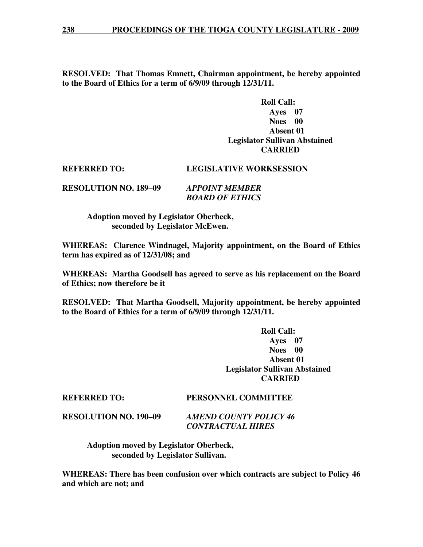**RESOLVED: That Thomas Emnett, Chairman appointment, be hereby appointed to the Board of Ethics for a term of 6/9/09 through 12/31/11.** 

## **Roll Call: Ayes 07 Noes 00 Absent 01 Legislator Sullivan Abstained CARRIED**

## **REFERRED TO: LEGISLATIVE WORKSESSION**

**RESOLUTION NO. 189–09** *APPOINT MEMBER BOARD OF ETHICS* 

> **Adoption moved by Legislator Oberbeck, seconded by Legislator McEwen.**

**WHEREAS: Clarence Windnagel, Majority appointment, on the Board of Ethics term has expired as of 12/31/08; and** 

**WHEREAS: Martha Goodsell has agreed to serve as his replacement on the Board of Ethics; now therefore be it** 

**RESOLVED: That Martha Goodsell, Majority appointment, be hereby appointed to the Board of Ethics for a term of 6/9/09 through 12/31/11.** 

> **Roll Call: Ayes 07 Noes 00 Absent 01 Legislator Sullivan Abstained CARRIED**

#### **REFERRED TO: PERSONNEL COMMITTEE**

**RESOLUTION NO. 190–09** *AMEND COUNTY POLICY 46 CONTRACTUAL HIRES* 

> **Adoption moved by Legislator Oberbeck, seconded by Legislator Sullivan.**

**WHEREAS: There has been confusion over which contracts are subject to Policy 46 and which are not; and**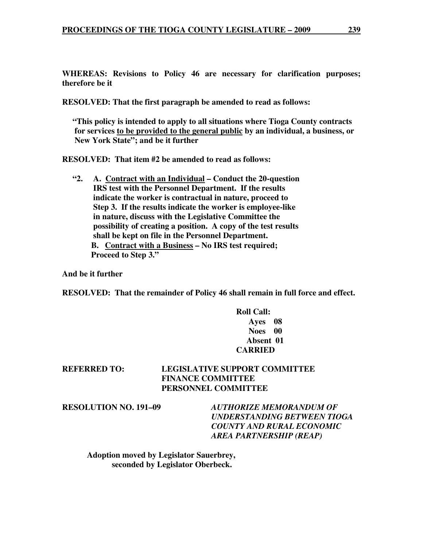**WHEREAS: Revisions to Policy 46 are necessary for clarification purposes; therefore be it** 

**RESOLVED: That the first paragraph be amended to read as follows:** 

 **"This policy is intended to apply to all situations where Tioga County contracts for services to be provided to the general public by an individual, a business, or New York State"; and be it further** 

**RESOLVED: That item #2 be amended to read as follows:** 

 **"2. A. Contract with an Individual – Conduct the 20-question IRS test with the Personnel Department. If the results indicate the worker is contractual in nature, proceed to Step 3. If the results indicate the worker is employee-like in nature, discuss with the Legislative Committee the possibility of creating a position. A copy of the test results shall be kept on file in the Personnel Department. B. Contract with a Business – No IRS test required; Proceed to Step 3."** 

**And be it further** 

**RESOLVED: That the remainder of Policy 46 shall remain in full force and effect.** 

## **Roll Call: Ayes 08 Noes 00 Absent 01 CARRIED**

## **REFERRED TO: LEGISLATIVE SUPPORT COMMITTEE FINANCE COMMITTEE PERSONNEL COMMITTEE**

**RESOLUTION NO. 191–09** *AUTHORIZE MEMORANDUM OF UNDERSTANDING BETWEEN TIOGA COUNTY AND RURAL ECONOMIC AREA PARTNERSHIP (REAP)* 

 **Adoption moved by Legislator Sauerbrey, seconded by Legislator Oberbeck.**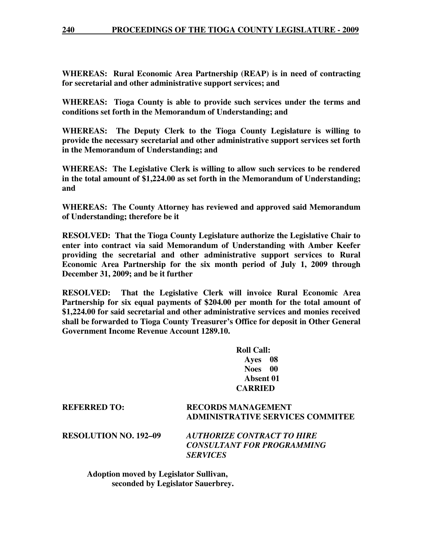**WHEREAS: Rural Economic Area Partnership (REAP) is in need of contracting for secretarial and other administrative support services; and** 

**WHEREAS: Tioga County is able to provide such services under the terms and conditions set forth in the Memorandum of Understanding; and** 

**WHEREAS: The Deputy Clerk to the Tioga County Legislature is willing to provide the necessary secretarial and other administrative support services set forth in the Memorandum of Understanding; and** 

**WHEREAS: The Legislative Clerk is willing to allow such services to be rendered in the total amount of \$1,224.00 as set forth in the Memorandum of Understanding; and** 

**WHEREAS: The County Attorney has reviewed and approved said Memorandum of Understanding; therefore be it** 

**RESOLVED: That the Tioga County Legislature authorize the Legislative Chair to enter into contract via said Memorandum of Understanding with Amber Keefer providing the secretarial and other administrative support services to Rural Economic Area Partnership for the six month period of July 1, 2009 through December 31, 2009; and be it further** 

**RESOLVED: That the Legislative Clerk will invoice Rural Economic Area Partnership for six equal payments of \$204.00 per month for the total amount of \$1,224.00 for said secretarial and other administrative services and monies received shall be forwarded to Tioga County Treasurer's Office for deposit in Other General Government Income Revenue Account 1289.10.** 

> **Roll Call: Ayes 08 Noes 00 Absent 01 CARRIED**

**REFERRED TO: RECORDS MANAGEMENT ADMINISTRATIVE SERVICES COMMITEE** 

**RESOLUTION NO. 192–09** *AUTHORIZE CONTRACT TO HIRE CONSULTANT FOR PROGRAMMING SERVICES* 

 **Adoption moved by Legislator Sullivan, seconded by Legislator Sauerbrey.**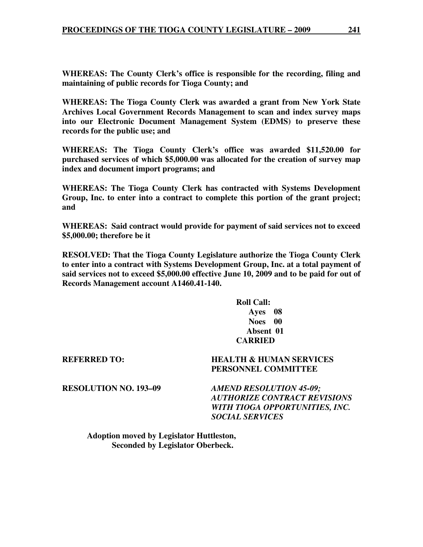**WHEREAS: The County Clerk's office is responsible for the recording, filing and maintaining of public records for Tioga County; and**

**WHEREAS: The Tioga County Clerk was awarded a grant from New York State Archives Local Government Records Management to scan and index survey maps into our Electronic Document Management System (EDMS) to preserve these records for the public use; and** 

**WHEREAS: The Tioga County Clerk's office was awarded \$11,520.00 for purchased services of which \$5,000.00 was allocated for the creation of survey map index and document import programs; and** 

**WHEREAS: The Tioga County Clerk has contracted with Systems Development Group, Inc. to enter into a contract to complete this portion of the grant project; and** 

**WHEREAS: Said contract would provide for payment of said services not to exceed \$5,000.00; therefore be it** 

**RESOLVED: That the Tioga County Legislature authorize the Tioga County Clerk to enter into a contract with Systems Development Group, Inc. at a total payment of said services not to exceed \$5,000.00 effective June 10, 2009 and to be paid for out of Records Management account A1460.41-140.** 

## **Roll Call: Ayes 08 Noes 00 Absent 01 CARRIED**

## **REFERRED TO: HEALTH & HUMAN SERVICES PERSONNEL COMMITTEE**

**RESOLUTION NO. 193–09** *AMEND RESOLUTION 45-09; AUTHORIZE CONTRACT REVISIONS WITH TIOGA OPPORTUNITIES, INC. SOCIAL SERVICES* 

 **Adoption moved by Legislator Huttleston, Seconded by Legislator Oberbeck.**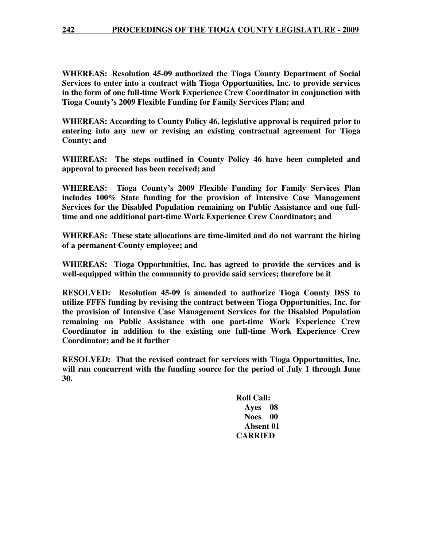**WHEREAS: Resolution 45-09 authorized the Tioga County Department of Social Services to enter into a contract with Tioga Opportunities, Inc. to provide services in the form of one full-time Work Experience Crew Coordinator in conjunction with Tioga County's 2009 Flexible Funding for Family Services Plan; and** 

**WHEREAS: According to County Policy 46, legislative approval is required prior to entering into any new or revising an existing contractual agreement for Tioga County; and** 

**WHEREAS: The steps outlined in County Policy 46 have been completed and approval to proceed has been received; and** 

**WHEREAS: Tioga County's 2009 Flexible Funding for Family Services Plan includes 100% State funding for the provision of Intensive Case Management Services for the Disabled Population remaining on Public Assistance and one fulltime and one additional part-time Work Experience Crew Coordinator; and** 

**WHEREAS: These state allocations are time-limited and do not warrant the hiring of a permanent County employee; and** 

**WHEREAS: Tioga Opportunities, Inc. has agreed to provide the services and is well-equipped within the community to provide said services; therefore be it** 

**RESOLVED: Resolution 45-09 is amended to authorize Tioga County DSS to utilize FFFS funding by revising the contract between Tioga Opportunities, Inc. for the provision of Intensive Case Management Services for the Disabled Population remaining on Public Assistance with one part-time Work Experience Crew Coordinator in addition to the existing one full-time Work Experience Crew Coordinator; and be it further** 

**RESOLVED: That the revised contract for services with Tioga Opportunities, Inc. will run concurrent with the funding source for the period of July 1 through June 30.** 

> **Roll Call: Ayes 08 Noes 00 Absent 01 CARRIED**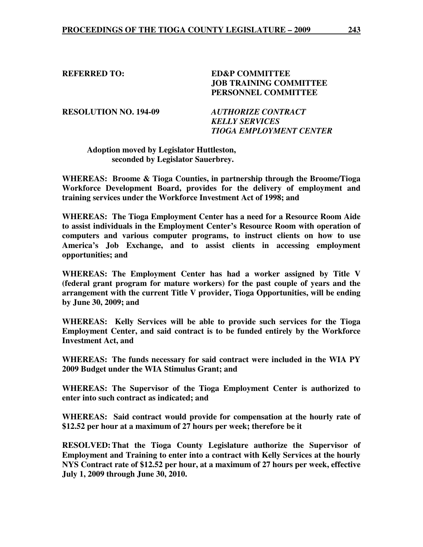**REFERRED TO: ED&P COMMITTEE JOB TRAINING COMMITTEE PERSONNEL COMMITTEE** 

**RESOLUTION NO. 194-09** *AUTHORIZE CONTRACT* 

 *KELLY SERVICES TIOGA EMPLOYMENT CENTER* 

**Adoption moved by Legislator Huttleston, seconded by Legislator Sauerbrey.** 

**WHEREAS: Broome & Tioga Counties, in partnership through the Broome/Tioga Workforce Development Board, provides for the delivery of employment and training services under the Workforce Investment Act of 1998; and** 

**WHEREAS: The Tioga Employment Center has a need for a Resource Room Aide to assist individuals in the Employment Center's Resource Room with operation of computers and various computer programs, to instruct clients on how to use America's Job Exchange, and to assist clients in accessing employment opportunities; and** 

**WHEREAS: The Employment Center has had a worker assigned by Title V (federal grant program for mature workers) for the past couple of years and the arrangement with the current Title V provider, Tioga Opportunities, will be ending by June 30, 2009; and** 

**WHEREAS: Kelly Services will be able to provide such services for the Tioga Employment Center, and said contract is to be funded entirely by the Workforce Investment Act, and** 

**WHEREAS: The funds necessary for said contract were included in the WIA PY 2009 Budget under the WIA Stimulus Grant; and** 

**WHEREAS: The Supervisor of the Tioga Employment Center is authorized to enter into such contract as indicated; and** 

**WHEREAS: Said contract would provide for compensation at the hourly rate of \$12.52 per hour at a maximum of 27 hours per week; therefore be it** 

**RESOLVED: That the Tioga County Legislature authorize the Supervisor of Employment and Training to enter into a contract with Kelly Services at the hourly NYS Contract rate of \$12.52 per hour, at a maximum of 27 hours per week, effective July 1, 2009 through June 30, 2010.**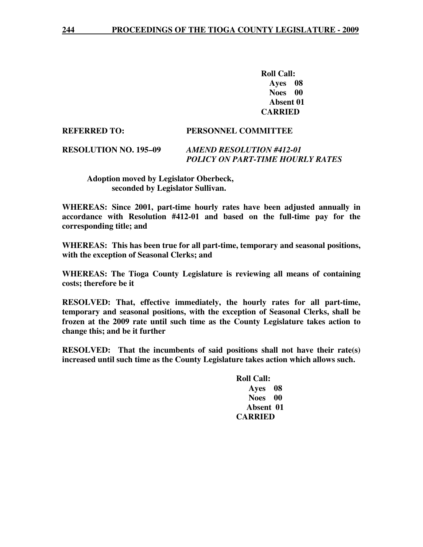**Roll Call: Ayes 08 Noes 00 Absent 01 CARRIED** 

#### **REFERRED TO: PERSONNEL COMMITTEE**

## **RESOLUTION NO. 195–09** *AMEND RESOLUTION #412-01 POLICY ON PART-TIME HOURLY RATES*

 **Adoption moved by Legislator Oberbeck, seconded by Legislator Sullivan.** 

**WHEREAS: Since 2001, part-time hourly rates have been adjusted annually in accordance with Resolution #412-01 and based on the full-time pay for the corresponding title; and** 

**WHEREAS: This has been true for all part-time, temporary and seasonal positions, with the exception of Seasonal Clerks; and** 

**WHEREAS: The Tioga County Legislature is reviewing all means of containing costs; therefore be it** 

**RESOLVED: That, effective immediately, the hourly rates for all part-time, temporary and seasonal positions, with the exception of Seasonal Clerks, shall be frozen at the 2009 rate until such time as the County Legislature takes action to change this; and be it further** 

**RESOLVED: That the incumbents of said positions shall not have their rate(s) increased until such time as the County Legislature takes action which allows such.** 

> **Roll Call: Ayes 08 Noes 00 Absent 01 CARRIED**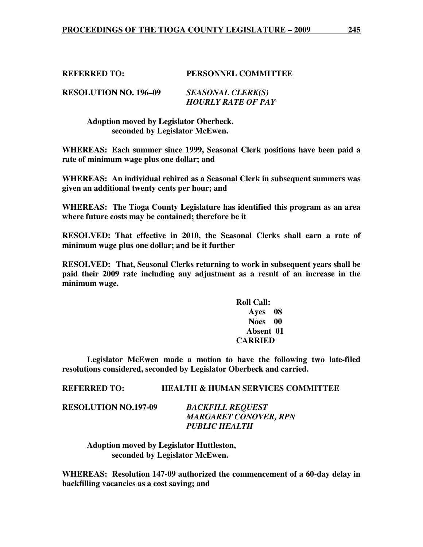## **REFERRED TO: PERSONNEL COMMITTEE**

| <b>RESOLUTION NO. 196–09</b> | <b>SEASONAL CLERK(S)</b>  |
|------------------------------|---------------------------|
|                              | <b>HOURLY RATE OF PAY</b> |

 **Adoption moved by Legislator Oberbeck, seconded by Legislator McEwen.** 

**WHEREAS: Each summer since 1999, Seasonal Clerk positions have been paid a rate of minimum wage plus one dollar; and** 

**WHEREAS: An individual rehired as a Seasonal Clerk in subsequent summers was given an additional twenty cents per hour; and** 

**WHEREAS: The Tioga County Legislature has identified this program as an area where future costs may be contained; therefore be it** 

**RESOLVED: That effective in 2010, the Seasonal Clerks shall earn a rate of minimum wage plus one dollar; and be it further** 

**RESOLVED: That, Seasonal Clerks returning to work in subsequent years shall be paid their 2009 rate including any adjustment as a result of an increase in the minimum wage.** 

## **Roll Call: Ayes 08 Noes 00 Absent 01 CARRIED**

 **Legislator McEwen made a motion to have the following two late-filed resolutions considered, seconded by Legislator Oberbeck and carried.** 

## **REFERRED TO: HEALTH & HUMAN SERVICES COMMITTEE**

**RESOLUTION NO.197-09** *BACKFILL REQUEST* 

 *MARGARET CONOVER, RPN PUBLIC HEALTH* 

 **Adoption moved by Legislator Huttleston, seconded by Legislator McEwen.** 

**WHEREAS: Resolution 147-09 authorized the commencement of a 60-day delay in backfilling vacancies as a cost saving; and**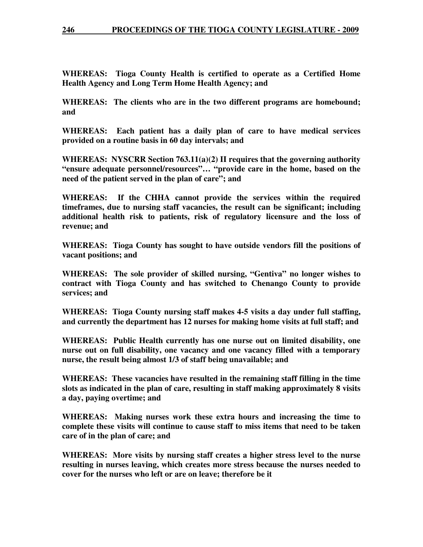## **246 PROCEEDINGS OF THE TIOGA COUNTY LEGISLATURE - 2009**

**WHEREAS: Tioga County Health is certified to operate as a Certified Home Health Agency and Long Term Home Health Agency; and**

**WHEREAS: The clients who are in the two different programs are homebound; and** 

**WHEREAS: Each patient has a daily plan of care to have medical services provided on a routine basis in 60 day intervals; and** 

**WHEREAS: NYSCRR Section 763.11(a)(2) II requires that the governing authority "ensure adequate personnel/resources"… "provide care in the home, based on the need of the patient served in the plan of care"; and** 

**WHEREAS: If the CHHA cannot provide the services within the required timeframes, due to nursing staff vacancies, the result can be significant; including additional health risk to patients, risk of regulatory licensure and the loss of revenue; and** 

**WHEREAS: Tioga County has sought to have outside vendors fill the positions of vacant positions; and** 

**WHEREAS: The sole provider of skilled nursing, "Gentiva" no longer wishes to contract with Tioga County and has switched to Chenango County to provide services; and** 

**WHEREAS: Tioga County nursing staff makes 4-5 visits a day under full staffing, and currently the department has 12 nurses for making home visits at full staff; and** 

**WHEREAS: Public Health currently has one nurse out on limited disability, one nurse out on full disability, one vacancy and one vacancy filled with a temporary nurse, the result being almost 1/3 of staff being unavailable; and** 

**WHEREAS: These vacancies have resulted in the remaining staff filling in the time slots as indicated in the plan of care, resulting in staff making approximately 8 visits a day, paying overtime; and** 

**WHEREAS: Making nurses work these extra hours and increasing the time to complete these visits will continue to cause staff to miss items that need to be taken care of in the plan of care; and** 

**WHEREAS: More visits by nursing staff creates a higher stress level to the nurse resulting in nurses leaving, which creates more stress because the nurses needed to cover for the nurses who left or are on leave; therefore be it**